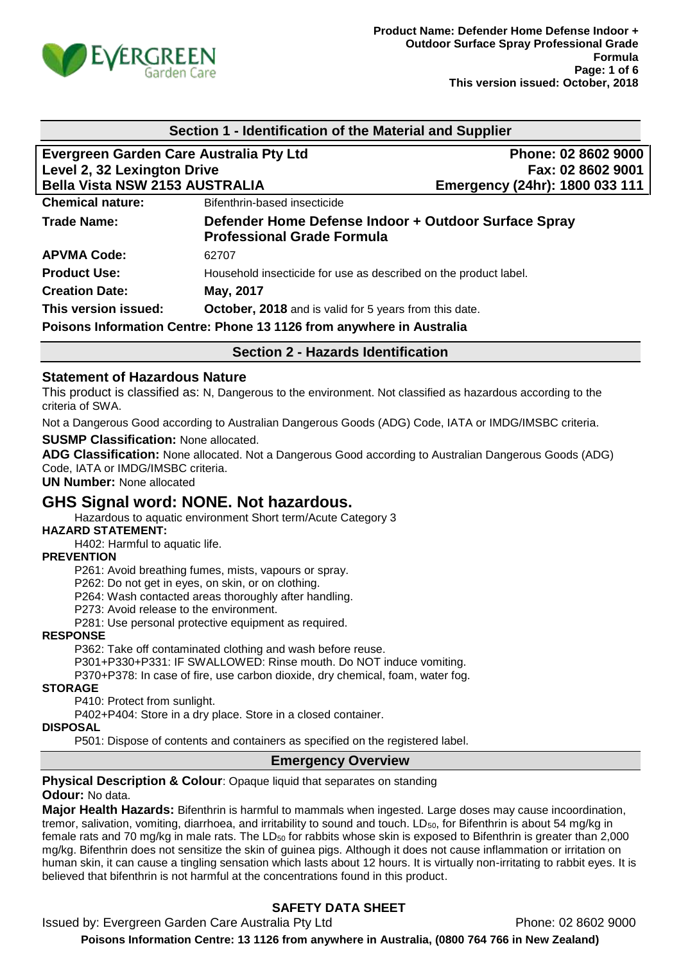

| Section 1 - Identification of the Material and Supplier                                                         |                                                                      |                                                      |
|-----------------------------------------------------------------------------------------------------------------|----------------------------------------------------------------------|------------------------------------------------------|
| Evergreen Garden Care Australia Pty Ltd<br>Level 2, 32 Lexington Drive<br><b>Bella Vista NSW 2153 AUSTRALIA</b> |                                                                      | Phone: 02 8602 9000                                  |
|                                                                                                                 |                                                                      | Fax: 02 8602 9001<br>Emergency (24hr): 1800 033 111  |
|                                                                                                                 |                                                                      |                                                      |
| <b>Trade Name:</b>                                                                                              | <b>Professional Grade Formula</b>                                    | Defender Home Defense Indoor + Outdoor Surface Spray |
| <b>APVMA Code:</b>                                                                                              | 62707                                                                |                                                      |
| <b>Product Use:</b>                                                                                             | Household insecticide for use as described on the product label.     |                                                      |
| <b>Creation Date:</b>                                                                                           | May, 2017                                                            |                                                      |
| This version issued:                                                                                            | <b>October, 2018</b> and is valid for 5 years from this date.        |                                                      |
|                                                                                                                 | Poisons Information Centre: Phone 13 1126 from anywhere in Australia |                                                      |

# **Section 2 - Hazards Identification**

### **Statement of Hazardous Nature**

This product is classified as: N, Dangerous to the environment. Not classified as hazardous according to the criteria of SWA.

Not a Dangerous Good according to Australian Dangerous Goods (ADG) Code, IATA or IMDG/IMSBC criteria.

#### **SUSMP Classification:** None allocated.

**ADG Classification:** None allocated. Not a Dangerous Good according to Australian Dangerous Goods (ADG) Code, IATA or IMDG/IMSBC criteria.

**UN Number:** None allocated

# **GHS Signal word: NONE. Not hazardous.**

Hazardous to aquatic environment Short term/Acute Category 3

### **HAZARD STATEMENT:**

H402: Harmful to aquatic life.

#### **PREVENTION**

P261: Avoid breathing fumes, mists, vapours or spray.

P262: Do not get in eyes, on skin, or on clothing.

P264: Wash contacted areas thoroughly after handling.

P273: Avoid release to the environment.

P281: Use personal protective equipment as required.

#### **RESPONSE**

P362: Take off contaminated clothing and wash before reuse.

P301+P330+P331: IF SWALLOWED: Rinse mouth. Do NOT induce vomiting.

P370+P378: In case of fire, use carbon dioxide, dry chemical, foam, water fog.

#### **STORAGE**

P410: Protect from sunlight.

P402+P404: Store in a dry place. Store in a closed container.

#### **DISPOSAL**

P501: Dispose of contents and containers as specified on the registered label.

#### **Emergency Overview**

#### **Physical Description & Colour:** Opaque liquid that separates on standing **Odour:** No data.

**Major Health Hazards:** Bifenthrin is harmful to mammals when ingested. Large doses may cause incoordination, tremor, salivation, vomiting, diarrhoea, and irritability to sound and touch.  $LD_{50}$ , for Bifenthrin is about 54 mg/kg in female rats and 70 mg/kg in male rats. The LD<sub>50</sub> for rabbits whose skin is exposed to Bifenthrin is greater than 2,000 mg/kg. Bifenthrin does not sensitize the skin of guinea pigs. Although it does not cause inflammation or irritation on human skin, it can cause a tingling sensation which lasts about 12 hours. It is virtually non-irritating to rabbit eyes. It is believed that bifenthrin is not harmful at the concentrations found in this product.

# **SAFETY DATA SHEET**

Issued by: Evergreen Garden Care Australia Pty Ltd **Phone: 02 8602 9000 Poisons Information Centre: 13 1126 from anywhere in Australia, (0800 764 766 in New Zealand)**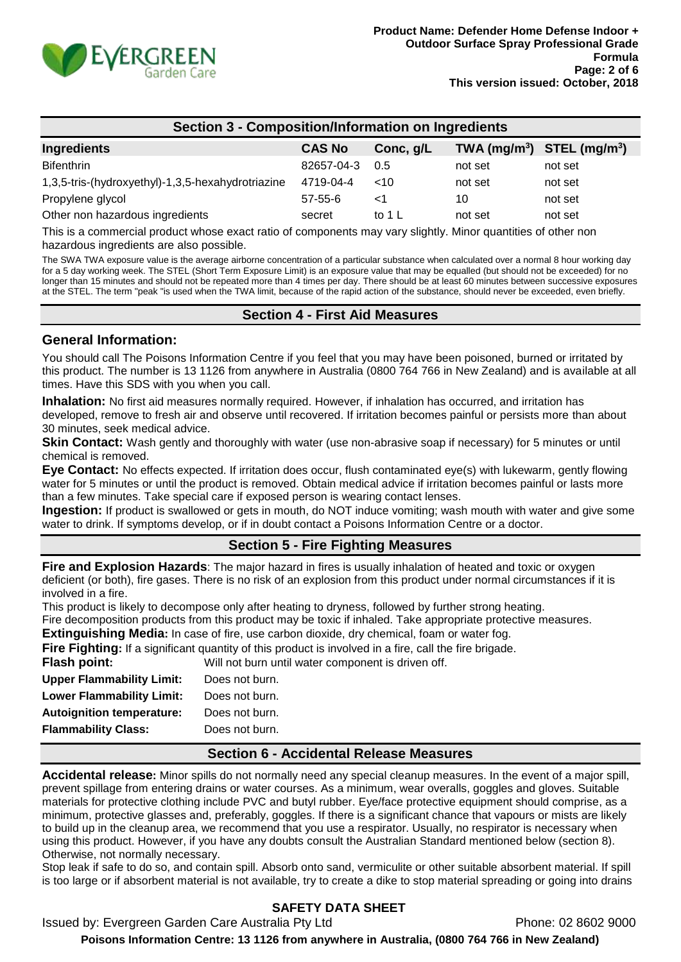

| <b>Section 3 - Composition/Information on Ingredients</b> |               |                   |                                |         |
|-----------------------------------------------------------|---------------|-------------------|--------------------------------|---------|
| <b>Ingredients</b>                                        | <b>CAS No</b> | Conc, g/L         | TWA $(mg/m^3)$ STEL $(mg/m^3)$ |         |
| <b>Bifenthrin</b>                                         | 82657-04-3    | 0.5               | not set                        | not set |
| 1,3,5-tris-(hydroxyethyl)-1,3,5-hexahydrotriazine         | 4719-04-4     | ~10               | not set                        | not set |
| Propylene glycol                                          | $57 - 55 - 6$ | <1                | 10                             | not set |
| Other non hazardous ingredients                           | secret        | to 1 $\mathsf{L}$ | not set                        | not set |

This is a commercial product whose exact ratio of components may vary slightly. Minor quantities of other non hazardous ingredients are also possible.

The SWA TWA exposure value is the average airborne concentration of a particular substance when calculated over a normal 8 hour working day for a 5 day working week. The STEL (Short Term Exposure Limit) is an exposure value that may be equalled (but should not be exceeded) for no longer than 15 minutes and should not be repeated more than 4 times per day. There should be at least 60 minutes between successive exposures at the STEL. The term "peak "is used when the TWA limit, because of the rapid action of the substance, should never be exceeded, even briefly.

### **Section 4 - First Aid Measures**

### **General Information:**

You should call The Poisons Information Centre if you feel that you may have been poisoned, burned or irritated by this product. The number is 13 1126 from anywhere in Australia (0800 764 766 in New Zealand) and is available at all times. Have this SDS with you when you call.

**Inhalation:** No first aid measures normally required. However, if inhalation has occurred, and irritation has developed, remove to fresh air and observe until recovered. If irritation becomes painful or persists more than about 30 minutes, seek medical advice.

**Skin Contact:** Wash gently and thoroughly with water (use non-abrasive soap if necessary) for 5 minutes or until chemical is removed.

**Eye Contact:** No effects expected. If irritation does occur, flush contaminated eye(s) with lukewarm, gently flowing water for 5 minutes or until the product is removed. Obtain medical advice if irritation becomes painful or lasts more than a few minutes. Take special care if exposed person is wearing contact lenses.

**Ingestion:** If product is swallowed or gets in mouth, do NOT induce vomiting; wash mouth with water and give some water to drink. If symptoms develop, or if in doubt contact a Poisons Information Centre or a doctor.

### **Section 5 - Fire Fighting Measures**

**Fire and Explosion Hazards**: The major hazard in fires is usually inhalation of heated and toxic or oxygen deficient (or both), fire gases. There is no risk of an explosion from this product under normal circumstances if it is involved in a fire.

This product is likely to decompose only after heating to dryness, followed by further strong heating.

Fire decomposition products from this product may be toxic if inhaled. Take appropriate protective measures.

**Extinguishing Media:** In case of fire, use carbon dioxide, dry chemical, foam or water fog.

**Fire Fighting:** If a significant quantity of this product is involved in a fire, call the fire brigade.

| Flash point:                     | Will not burn until water component is driven off. |
|----------------------------------|----------------------------------------------------|
| <b>Upper Flammability Limit:</b> | Does not burn.                                     |
| <b>Lower Flammability Limit:</b> | Does not burn.                                     |
| <b>Autoignition temperature:</b> | Does not burn.                                     |
| <b>Flammability Class:</b>       | Does not burn.                                     |
|                                  |                                                    |

### **Section 6 - Accidental Release Measures**

**Accidental release:** Minor spills do not normally need any special cleanup measures. In the event of a major spill, prevent spillage from entering drains or water courses. As a minimum, wear overalls, goggles and gloves. Suitable materials for protective clothing include PVC and butyl rubber. Eye/face protective equipment should comprise, as a minimum, protective glasses and, preferably, goggles. If there is a significant chance that vapours or mists are likely to build up in the cleanup area, we recommend that you use a respirator. Usually, no respirator is necessary when using this product. However, if you have any doubts consult the Australian Standard mentioned below (section 8). Otherwise, not normally necessary.

Stop leak if safe to do so, and contain spill. Absorb onto sand, vermiculite or other suitable absorbent material. If spill is too large or if absorbent material is not available, try to create a dike to stop material spreading or going into drains

# **SAFETY DATA SHEET**

Issued by: Evergreen Garden Care Australia Pty Ltd **Phone: 02 8602 9000** 

**Poisons Information Centre: 13 1126 from anywhere in Australia, (0800 764 766 in New Zealand)**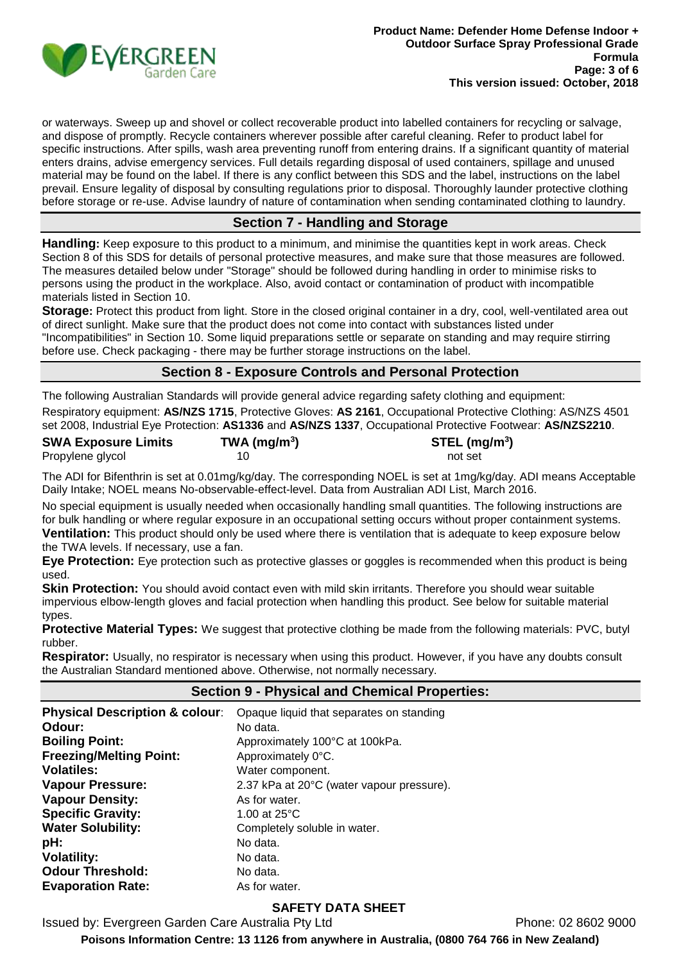

or waterways. Sweep up and shovel or collect recoverable product into labelled containers for recycling or salvage, and dispose of promptly. Recycle containers wherever possible after careful cleaning. Refer to product label for specific instructions. After spills, wash area preventing runoff from entering drains. If a significant quantity of material enters drains, advise emergency services. Full details regarding disposal of used containers, spillage and unused material may be found on the label. If there is any conflict between this SDS and the label, instructions on the label prevail. Ensure legality of disposal by consulting regulations prior to disposal. Thoroughly launder protective clothing before storage or re-use. Advise laundry of nature of contamination when sending contaminated clothing to laundry.

### **Section 7 - Handling and Storage**

**Handling:** Keep exposure to this product to a minimum, and minimise the quantities kept in work areas. Check Section 8 of this SDS for details of personal protective measures, and make sure that those measures are followed. The measures detailed below under "Storage" should be followed during handling in order to minimise risks to persons using the product in the workplace. Also, avoid contact or contamination of product with incompatible materials listed in Section 10.

**Storage**: Protect this product from light. Store in the closed original container in a dry, cool, well-ventilated area out of direct sunlight. Make sure that the product does not come into contact with substances listed under "Incompatibilities" in Section 10. Some liquid preparations settle or separate on standing and may require stirring before use. Check packaging - there may be further storage instructions on the label.

# **Section 8 - Exposure Controls and Personal Protection**

The following Australian Standards will provide general advice regarding safety clothing and equipment: Respiratory equipment: **AS/NZS 1715**, Protective Gloves: **AS 2161**, Occupational Protective Clothing: AS/NZS 4501 set 2008, Industrial Eye Protection: **AS1336** and **AS/NZS 1337**, Occupational Protective Footwear: **AS/NZS2210**.

| <b>SWA Exposure Limits</b> | TWA (mg/m <sup>3</sup> ) | $STEL$ (mg/m <sup>3</sup> ) |
|----------------------------|--------------------------|-----------------------------|
| Propylene glycol           |                          | not set                     |

The ADI for Bifenthrin is set at 0.01mg/kg/day. The corresponding NOEL is set at 1mg/kg/day. ADI means Acceptable Daily Intake; NOEL means No-observable-effect-level. Data from Australian ADI List, March 2016.

No special equipment is usually needed when occasionally handling small quantities. The following instructions are for bulk handling or where regular exposure in an occupational setting occurs without proper containment systems. **Ventilation:** This product should only be used where there is ventilation that is adequate to keep exposure below the TWA levels. If necessary, use a fan.

**Eye Protection:** Eye protection such as protective glasses or goggles is recommended when this product is being used.

**Skin Protection:** You should avoid contact even with mild skin irritants. Therefore you should wear suitable impervious elbow-length gloves and facial protection when handling this product. See below for suitable material types.

**Protective Material Types:** We suggest that protective clothing be made from the following materials: PVC, butyl rubber.

**Respirator:** Usually, no respirator is necessary when using this product. However, if you have any doubts consult the Australian Standard mentioned above. Otherwise, not normally necessary.

#### **Section 9 - Physical and Chemical Properties:**

| <b>Physical Description &amp; colour:</b> | Opaque liquid that separates on standing  |
|-------------------------------------------|-------------------------------------------|
| Odour:                                    | No data.                                  |
| <b>Boiling Point:</b>                     | Approximately 100°C at 100kPa.            |
| <b>Freezing/Melting Point:</b>            | Approximately 0°C.                        |
| <b>Volatiles:</b>                         | Water component.                          |
| <b>Vapour Pressure:</b>                   | 2.37 kPa at 20°C (water vapour pressure). |
| <b>Vapour Density:</b>                    | As for water.                             |
| <b>Specific Gravity:</b>                  | 1.00 at $25^{\circ}$ C                    |
| <b>Water Solubility:</b>                  | Completely soluble in water.              |
| pH:                                       | No data.                                  |
| <b>Volatility:</b>                        | No data.                                  |
| <b>Odour Threshold:</b>                   | No data.                                  |
| <b>Evaporation Rate:</b>                  | As for water.                             |

### **SAFETY DATA SHEET**

Issued by: Evergreen Garden Care Australia Pty Ltd Phone: 02 8602 9000

**Poisons Information Centre: 13 1126 from anywhere in Australia, (0800 764 766 in New Zealand)**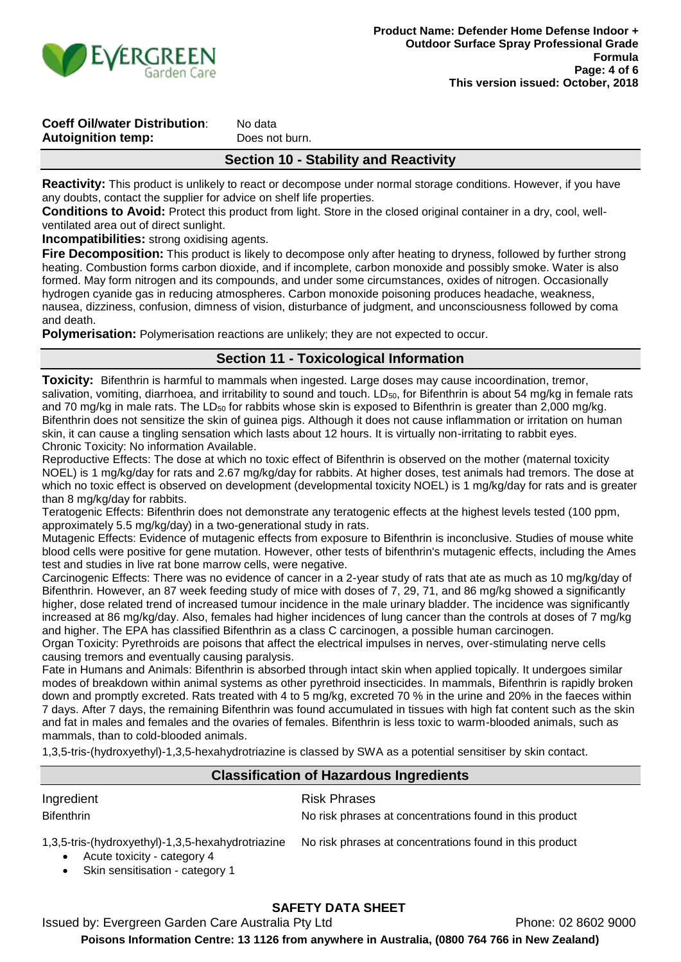

# **Coeff Oil/water Distribution:** No data **Autoignition temp:** Does not burn.

### **Section 10 - Stability and Reactivity**

**Reactivity:** This product is unlikely to react or decompose under normal storage conditions. However, if you have any doubts, contact the supplier for advice on shelf life properties.

**Conditions to Avoid:** Protect this product from light. Store in the closed original container in a dry, cool, wellventilated area out of direct sunlight.

**Incompatibilities:** strong oxidising agents.

**Fire Decomposition:** This product is likely to decompose only after heating to dryness, followed by further strong heating. Combustion forms carbon dioxide, and if incomplete, carbon monoxide and possibly smoke. Water is also formed. May form nitrogen and its compounds, and under some circumstances, oxides of nitrogen. Occasionally hydrogen cyanide gas in reducing atmospheres. Carbon monoxide poisoning produces headache, weakness, nausea, dizziness, confusion, dimness of vision, disturbance of judgment, and unconsciousness followed by coma and death.

**Polymerisation:** Polymerisation reactions are unlikely; they are not expected to occur.

### **Section 11 - Toxicological Information**

**Toxicity:** Bifenthrin is harmful to mammals when ingested. Large doses may cause incoordination, tremor, salivation, vomiting, diarrhoea, and irritability to sound and touch. LD<sub>50</sub>, for Bifenthrin is about 54 mg/kg in female rats and 70 mg/kg in male rats. The LD<sub>50</sub> for rabbits whose skin is exposed to Bifenthrin is greater than 2,000 mg/kg. Bifenthrin does not sensitize the skin of guinea pigs. Although it does not cause inflammation or irritation on human skin, it can cause a tingling sensation which lasts about 12 hours. It is virtually non-irritating to rabbit eyes. Chronic Toxicity: No information Available.

Reproductive Effects: The dose at which no toxic effect of Bifenthrin is observed on the mother (maternal toxicity NOEL) is 1 mg/kg/day for rats and 2.67 mg/kg/day for rabbits. At higher doses, test animals had tremors. The dose at which no toxic effect is observed on development (developmental toxicity NOEL) is 1 mg/kg/day for rats and is greater than 8 mg/kg/day for rabbits.

Teratogenic Effects: Bifenthrin does not demonstrate any teratogenic effects at the highest levels tested (100 ppm, approximately 5.5 mg/kg/day) in a two-generational study in rats.

Mutagenic Effects: Evidence of mutagenic effects from exposure to Bifenthrin is inconclusive. Studies of mouse white blood cells were positive for gene mutation. However, other tests of bifenthrin's mutagenic effects, including the Ames test and studies in live rat bone marrow cells, were negative.

Carcinogenic Effects: There was no evidence of cancer in a 2-year study of rats that ate as much as 10 mg/kg/day of Bifenthrin. However, an 87 week feeding study of mice with doses of 7, 29, 71, and 86 mg/kg showed a significantly higher, dose related trend of increased tumour incidence in the male urinary bladder. The incidence was significantly increased at 86 mg/kg/day. Also, females had higher incidences of lung cancer than the controls at doses of 7 mg/kg and higher. The EPA has classified Bifenthrin as a class C carcinogen, a possible human carcinogen.

Organ Toxicity: Pyrethroids are poisons that affect the electrical impulses in nerves, over-stimulating nerve cells causing tremors and eventually causing paralysis.

Fate in Humans and Animals: Bifenthrin is absorbed through intact skin when applied topically. It undergoes similar modes of breakdown within animal systems as other pyrethroid insecticides. In mammals, Bifenthrin is rapidly broken down and promptly excreted. Rats treated with 4 to 5 mg/kg, excreted 70 % in the urine and 20% in the faeces within 7 days. After 7 days, the remaining Bifenthrin was found accumulated in tissues with high fat content such as the skin and fat in males and females and the ovaries of females. Bifenthrin is less toxic to warm-blooded animals, such as mammals, than to cold-blooded animals.

1,3,5-tris-(hydroxyethyl)-1,3,5-hexahydrotriazine is classed by SWA as a potential sensitiser by skin contact.

# **Classification of Hazardous Ingredients**

| Ingredient                                                                                                          | <b>Risk Phrases</b>                                     |
|---------------------------------------------------------------------------------------------------------------------|---------------------------------------------------------|
| <b>Bifenthrin</b>                                                                                                   | No risk phrases at concentrations found in this product |
| 1,3,5-tris-(hydroxyethyl)-1,3,5-hexahydrotriazine<br>Acute toxicity - category 4<br>Skin sensitisation - category 1 | No risk phrases at concentrations found in this product |

# **SAFETY DATA SHEET**

Issued by: Evergreen Garden Care Australia Pty Ltd Phone: 02 8602 9000 **Poisons Information Centre: 13 1126 from anywhere in Australia, (0800 764 766 in New Zealand)**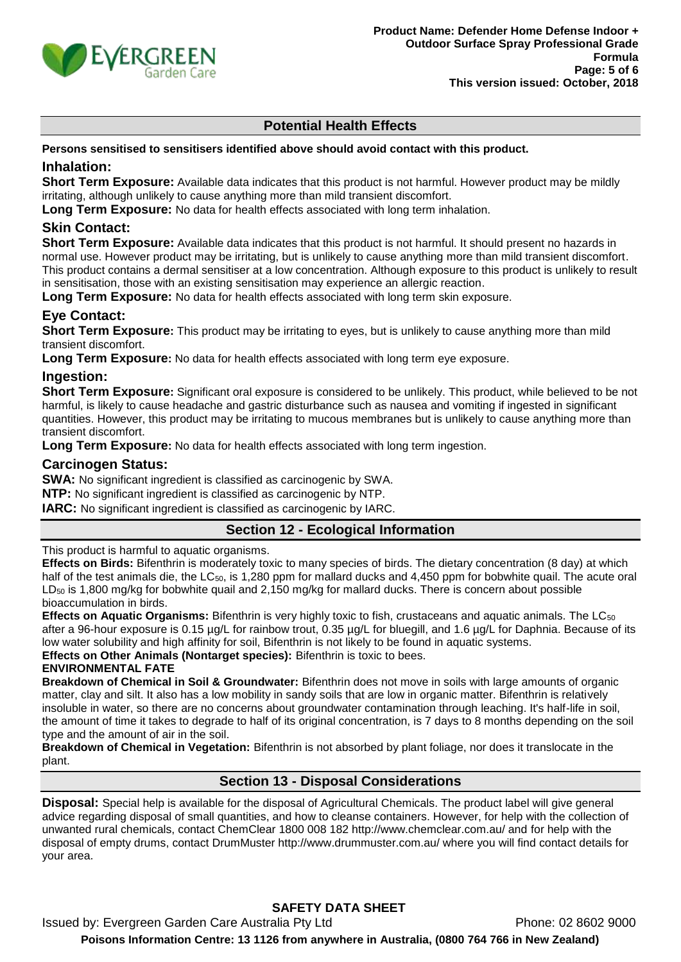

# **Potential Health Effects**

#### **Persons sensitised to sensitisers identified above should avoid contact with this product.**

### **Inhalation:**

**Short Term Exposure:** Available data indicates that this product is not harmful. However product may be mildly irritating, although unlikely to cause anything more than mild transient discomfort.

**Long Term Exposure:** No data for health effects associated with long term inhalation.

### **Skin Contact:**

**Short Term Exposure:** Available data indicates that this product is not harmful. It should present no hazards in normal use. However product may be irritating, but is unlikely to cause anything more than mild transient discomfort. This product contains a dermal sensitiser at a low concentration. Although exposure to this product is unlikely to result in sensitisation, those with an existing sensitisation may experience an allergic reaction.

**Long Term Exposure:** No data for health effects associated with long term skin exposure.

### **Eye Contact:**

**Short Term Exposure:** This product may be irritating to eyes, but is unlikely to cause anything more than mild transient discomfort.

**Long Term Exposure:** No data for health effects associated with long term eye exposure.

### **Ingestion:**

**Short Term Exposure:** Significant oral exposure is considered to be unlikely. This product, while believed to be not harmful, is likely to cause headache and gastric disturbance such as nausea and vomiting if ingested in significant quantities. However, this product may be irritating to mucous membranes but is unlikely to cause anything more than transient discomfort.

**Long Term Exposure:** No data for health effects associated with long term ingestion.

### **Carcinogen Status:**

**SWA:** No significant ingredient is classified as carcinogenic by SWA.

**NTP:** No significant ingredient is classified as carcinogenic by NTP.

**IARC:** No significant ingredient is classified as carcinogenic by IARC.

### **Section 12 - Ecological Information**

This product is harmful to aquatic organisms.

**Effects on Birds:** Bifenthrin is moderately toxic to many species of birds. The dietary concentration (8 day) at which half of the test animals die, the  $LC_{50}$ , is 1,280 ppm for mallard ducks and 4,450 ppm for bobwhite quail. The acute oral  $LD_{50}$  is 1,800 mg/kg for bobwhite quail and 2,150 mg/kg for mallard ducks. There is concern about possible bioaccumulation in birds.

**Effects on Aquatic Organisms:** Bifenthrin is very highly toxic to fish, crustaceans and aquatic animals. The LC<sub>50</sub> after a 96-hour exposure is 0.15 µg/L for rainbow trout, 0.35 µg/L for bluegill, and 1.6 µg/L for Daphnia. Because of its low water solubility and high affinity for soil, Bifenthrin is not likely to be found in aquatic systems.

**Effects on Other Animals (Nontarget species):** Bifenthrin is toxic to bees.

### **ENVIRONMENTAL FATE**

**Breakdown of Chemical in Soil & Groundwater:** Bifenthrin does not move in soils with large amounts of organic matter, clay and silt. It also has a low mobility in sandy soils that are low in organic matter. Bifenthrin is relatively insoluble in water, so there are no concerns about groundwater contamination through leaching. It's half-life in soil, the amount of time it takes to degrade to half of its original concentration, is 7 days to 8 months depending on the soil type and the amount of air in the soil.

**Breakdown of Chemical in Vegetation:** Bifenthrin is not absorbed by plant foliage, nor does it translocate in the plant.

### **Section 13 - Disposal Considerations**

**Disposal:** Special help is available for the disposal of Agricultural Chemicals. The product label will give general advice regarding disposal of small quantities, and how to cleanse containers. However, for help with the collection of unwanted rural chemicals, contact ChemClear 1800 008 182 http://www.chemclear.com.au/ and for help with the disposal of empty drums, contact DrumMuster http://www.drummuster.com.au/ where you will find contact details for your area.

# **SAFETY DATA SHEET**

Issued by: Evergreen Garden Care Australia Pty Ltd **Phone: 02 8602 9000 Poisons Information Centre: 13 1126 from anywhere in Australia, (0800 764 766 in New Zealand)**